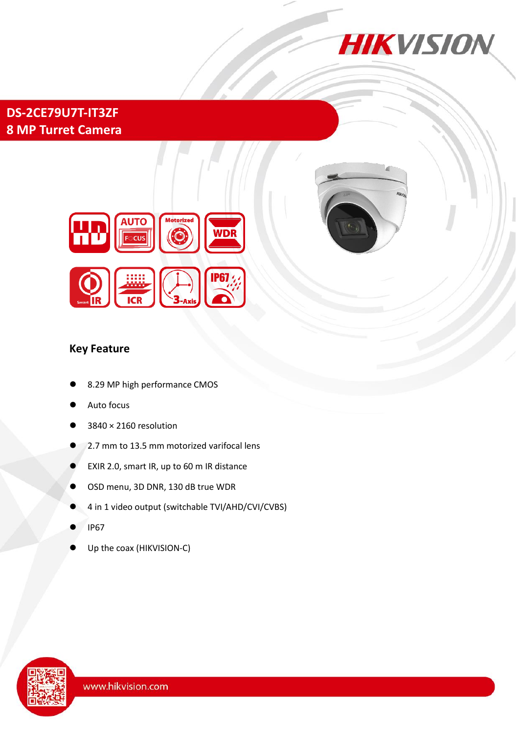

# **DS-2CE79U7T-IT3ZF 8 MP Turret Camera**





#### **Key Feature**

- 8.29 MP high performance CMOS
- Auto focus
- 3840 × 2160 resolution
- 2.7 mm to 13.5 mm motorized varifocal lens
- EXIR 2.0, smart IR, up to 60 m IR distance
- OSD menu, 3D DNR, 130 dB true WDR
- 4 in 1 video output (switchable TVI/AHD/CVI/CVBS)
- IP67
- Up the coax (HIKVISION-C)

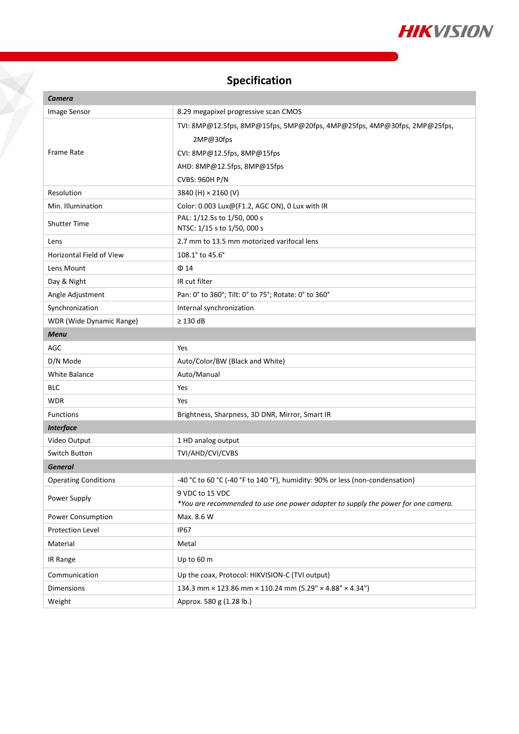

# **Specification**

X

| Camera                          |                                                                                                      |
|---------------------------------|------------------------------------------------------------------------------------------------------|
| Image Sensor                    | 8.29 megapixel progressive scan CMOS                                                                 |
|                                 | TVI: 8MP@12.5fps, 8MP@15fps, 5MP@20fps, 4MP@25fps, 4MP@30fps, 2MP@25fps,                             |
|                                 | 2MP@30fps                                                                                            |
| <b>Frame Rate</b>               | CVI: 8MP@12.5fps, 8MP@15fps                                                                          |
|                                 | AHD: 8MP@12.5fps, 8MP@15fps                                                                          |
|                                 | <b>CVBS: 960H P/N</b>                                                                                |
| Resolution                      | 3840 (H) × 2160 (V)                                                                                  |
| Min. Illumination               | Color: 0.003 Lux@(F1.2, AGC ON), 0 Lux with IR                                                       |
| <b>Shutter Time</b>             | PAL: 1/12.5s to 1/50, 000 s                                                                          |
|                                 | NTSC: 1/15 s to 1/50, 000 s                                                                          |
| Lens                            | 2.7 mm to 13.5 mm motorized varifocal lens                                                           |
| <b>Horizontal Field of View</b> | 108.1° to 45.6°                                                                                      |
| Lens Mount                      | $\Phi$ 14                                                                                            |
| Day & Night                     | IR cut filter                                                                                        |
| Angle Adjustment                | Pan: 0° to 360°; Tilt: 0° to 75°; Rotate: 0° to 360°                                                 |
| Synchronization                 | Internal synchronization                                                                             |
| WDR (Wide Dynamic Range)        | $\geq$ 130 dB                                                                                        |
| <b>Menu</b>                     |                                                                                                      |
| AGC                             | Yes                                                                                                  |
| D/N Mode                        | Auto/Color/BW (Black and White)                                                                      |
| White Balance                   | Auto/Manual                                                                                          |
| <b>BLC</b>                      | Yes                                                                                                  |
| <b>WDR</b>                      | Yes                                                                                                  |
| <b>Functions</b>                | Brightness, Sharpness, 3D DNR, Mirror, Smart IR                                                      |
| <b>Interface</b>                |                                                                                                      |
| Video Output                    | 1 HD analog output                                                                                   |
| Switch Button                   | TVI/AHD/CVI/CVBS                                                                                     |
| <b>General</b>                  |                                                                                                      |
| <b>Operating Conditions</b>     | -40 °C to 60 °C (-40 °F to 140 °F), humidity: 90% or less (non-condensation)                         |
| Power Supply                    | 9 VDC to 15 VDC<br>*You are recommended to use one power adapter to supply the power for one camera. |
| Power Consumption               | Max. 8.6 W                                                                                           |
| Protection Level                | <b>IP67</b>                                                                                          |
| Material                        | Metal                                                                                                |
| IR Range                        | Up to 60 m                                                                                           |
| Communication                   | Up the coax, Protocol: HIKVISION-C (TVI output)                                                      |
| Dimensions                      | 134.3 mm × 123.86 mm × 110.24 mm (5.29" × 4.88" × 4.34")                                             |
| Weight                          | Approx. 580 g (1.28 lb.)                                                                             |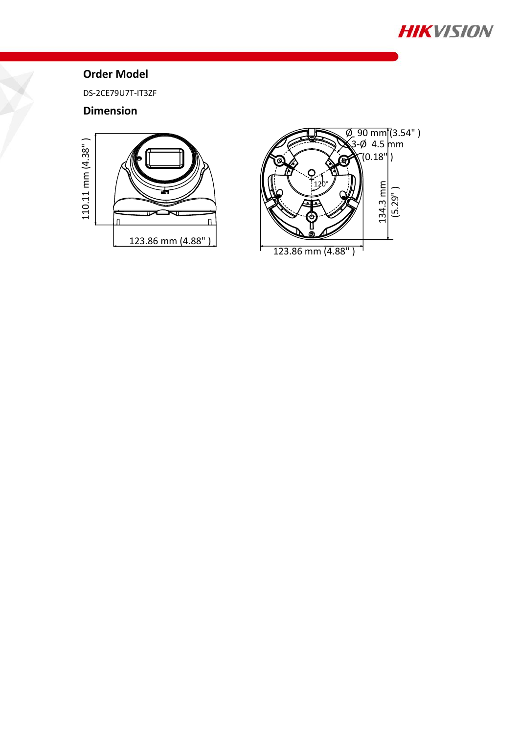

### **Order Model**

DS-2CE79U7T-IT3ZF

#### **Dimension**